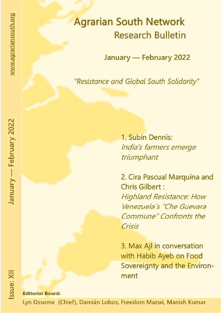# **Agrarian South Network Research Bulletin**

January - February 2022

"Resistance and Global South Solidarity"

1. Subin Dennis: India's farmers emerge triumphant

2. Cira Pascual Marquina and **Chris Gilbert: Highland Resistance: How** Venezuela's "Che Guevara **Commune" Confronts the** Crisis

3. Max Ajl in conversation with Habib Ayeb on Food Sovereignty and the Environment

# **Editorial Board:**

Lyn Ossome (Chief), Damián Lobos, Freedom Mazwi, Manish Kumar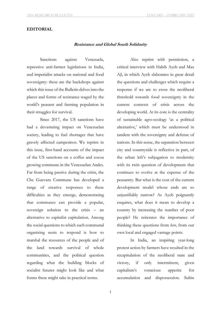#### **EDITORIAL**

#### **Resistance and Global South Solidarity**

Sanctions against Venezuela, repressive anti-farmer legislations in India, and imperialist attacks on national and food sovereignty: these are the backdrops against which this issue of the Bulletin delves into the places and forms of resistance waged by the world's peasant and farming population in their struggles for survival.

Since 2017, the US sanctions have had a devastating impact on Venezuelan society, leading to fuel shortages that have gravely affected campesinos. We reprint in this issue, first-hand accounts of the impact of the US sanctions on a coffee and cocoa growing commune in the Venezuelan Andes. Far from being passive during the crisis, the Che Guevara Commune has developed a range of creative responses to these difficulties as they emerge, demonstrating that communes can provide a popular, sovereign solution to the crisis – an alternative to capitalist capitulation. Among the social questions to which such communal organizing seem to respond is how to marshal the resources of the people and of the land towards survival of whole communities, and the political question regarding what the building blocks of socialist futures might look like and what forms these might take in practical terms.

Also reprint with permission, a critical interview with Habib Ayeb and Max Ajl, in which Ayeb elaborates in great detail the questions and challenges which require a response if we are to cross the neoliberal threshold towards food sovereignty in the current contexts of crisis across the developing world. At its core is the centrality of sustainable agro-ecology 'as a political alternative,' which must be understood in tandem with the sovereignty and defense of nations. In this sense, the separation between city and countryside is reflective in part, of the urban left's subjugation to modernity with its twin question of development that continues to evolve at the expense of the peasantry. But what is the cost of the current development model whose ends are so unjustifiably narrow? As Ayeb poignantly enquires, what does it mean to develop a country by increasing the number of poor people? He reiterates the importance of thinking these questions from *here*, from our own local and engaged vantage points.

In India, an inspiring year-long protest action by farmers have resulted in the recapitulation of the neoliberal state and victory, if only intermittent, given capitalism's voracious appetite for accumulation and dispossession. Subin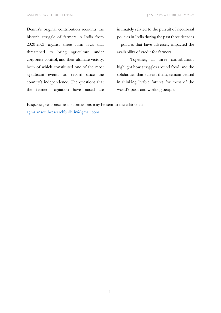Dennis's original contribution recounts the historic struggle of farmers in India from 2020-2021 against three farm laws that threatened to bring agriculture under corporate control, and their ultimate victory, both of which constituted one of the most significant events on record since the country's independence. The questions that the farmers' agitation have raised are

intimately related to the pursuit of neoliberal policies in India during the past three decades – policies that have adversely impacted the availability of credit for farmers.

Together, all three contributions highlight how struggles around food, and the solidarities that sustain them, remain central in thinking livable futures for most of the world's poor and working people.

Enquiries, responses and submissions may be sent to the editors at: agrariansouthresearchbulletin@gmail.com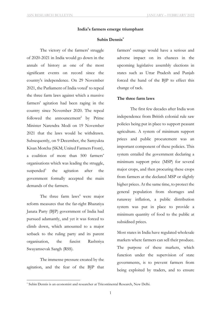#### **India's farmers emerge triumphant**

#### **Subin Dennis\***

The victory of the farmers' struggle of 2020-2021 in India would go down in the annals of history as one of the most significant events on record since the country's independence. On 29 November  $2021$ , the Parliament of India voted<sup>1</sup> to repeal the three farm laws against which a massive farmers' agitation had been raging in the country since November 2020. The repeal followed the announcement<sup>2</sup> by Prime Minister Narendra Modi on 19 November 2021 that the laws would be withdrawn. Subsequently, on 9 December, the Samyukta Kisan Morcha (SKM; United Farmers Front), a coalition of more than 500 farmers' organisations which was leading the struggle, suspended<sup>3</sup> the agitation after the government formally accepted the main demands of the farmers.

The three farm  $laws<sup>4</sup> were major$ reform measures that the far-right Bharatiya Janata Party (BJP) government of India had pursued adamantly, and yet it was forced to climb down, which amounted to a major setback to the ruling party and its parent organisation, the fascist Rashtriya Swayamsevak Sangh (RSS).

The immense pressure created by the agitation, and the fear of the BJP that

-

farmers' outrage would have a serious and adverse impact on its chances in the upcoming legislative assembly elections in states such as Uttar Pradesh and Punjab forced the hand of the BJP to effect this change of tack.

#### **The three farm laws**

The first few decades after India won independence from British colonial rule saw policies being put in place to support peasant agriculture. A system of minimum support prices and public procurement was an important component of these policies. This system entailed the government declaring a minimum support price (MSP) for several major crops, and then procuring these crops from farmers at the declared MSP or slightly higher prices. At the same time, to protect the general population from shortages and runaway inflation, a public distribution system was put in place to provide a minimum quantity of food to the public at subsidised prices.

Most states in India have regulated wholesale markets where farmers can sell their produce. The purpose of these markets, which function under the supervision of state governments, is to prevent farmers from being exploited by traders, and to ensure

<sup>\*</sup> Subin Dennis is an economist and researcher at Tricontinental Research, New Delhi.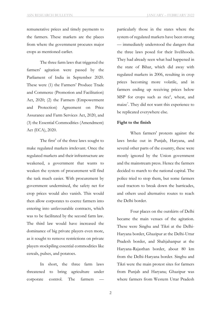remunerative prices and timely payments to the farmers. These markets are the places from where the government procures major crops as mentioned earlier.

The three farm laws that triggered the farmers' agitation were passed by the Parliament of India in September 2020. These were (1) the Farmers' Produce Trade and Commerce (Promotion and Facilitation) Act, 2020; (2) the Farmers (Empowerment and Protection) Agreement on Price Assurance and Farm Services Act, 2020, and (3) the Essential Commodities (Amendment) Act (ECA), 2020.

The first<sup>5</sup> of the three laws sought to make regulated markets irrelevant. Once the regulated markets and their infrastructure are weakened, a government that wants to weaken the system of procurement will find the task much easier. With procurement by government undermined, the safety net for crop prices would also vanish. This would then allow corporates to coerce farmers into entering into unfavourable contracts, which was to be facilitated by the second farm law. The third law would have increased the dominance of big private players even more, as it sought to remove restrictions on private players stockpiling essential commodities like cereals, pulses, and potatoes.

In short, the three farm laws threatened to bring agriculture under corporate control. The farmers

particularly those in the states where the system of regulated markets have been strong — immediately understood the dangers that the three laws posed for their livelihoods. They had already seen what had happened in the state of Bihar, which did away with regulated markets in 2006, resulting in crop prices becoming more volatile, and in farmers ending up receiving prices below MSP for crops such as rice<sup>6</sup>, wheat, and maize<sup>7</sup>. They did not want this experience to be replicated everywhere else.

#### **Fight to the finish**

When farmers' protests against the laws broke out in Punjab, Haryana, and several other parts of the country, these were mostly ignored by the Union government and the mainstream press. Hence the farmers decided to march to the national capital. The police tried to stop them, but some farmers used tractors to break down the barricades, and others used alternative routes to reach the Delhi border.

Four places on the outskirts of Delhi became the main venues of the agitation. These were Singhu and Tikri at the Delhi-Haryana border, Ghazipur at the Delhi-Uttar Pradesh border, and Shahjahanpur at the Haryana-Rajasthan border, about 80 km from the Delhi-Haryana border. Singhu and Tikri were the main protest sites for farmers from Punjab and Haryana; Ghazipur was where farmers from Western Uttar Pradesh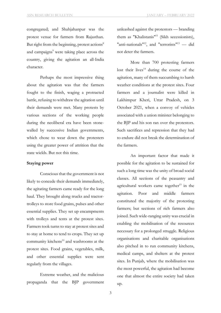congregated; and Shahjahanpur was the protest venue for farmers from Rajasthan. But right from the beginning, protest actions $8$ and campaigns<sup>9</sup> were taking place across the country, giving the agitation an all-India character.

Perhaps the most impressive thing about the agitation was that the farmers fought to the finish, waging a protracted battle, refusing to withdraw the agitation until their demands were met. Many protests by various sections of the working people during the neoliberal era have been stonewalled by successive Indian governments, which chose to wear down the protesters using the greater power of attrition that the state wields. But not this time.

#### **Staying power**

Conscious that the government is not likely to concede their demands immediately, the agitating farmers came ready for the long haul. They brought along trucks and tractortrolleys to store food grains, pulses and other essential supplies. They set up encampments with trolleys and tents at the protest sites. Farmers took turns to stay at protest sites and to stay at home to tend to crops. They set up community kitchens $^{10}$  and washrooms at the protest sites. Food grains, vegetables, milk, and other essential supplies were sent regularly from the villages.

Extreme weather, and the malicious propaganda that the BJP government

unleashed against the protestors — branding them as "Khalistanis"11 (Sikh secessionists), "anti-nationals"<sup>12</sup>, and "terrorists"<sup>13</sup> — did not deter the farmers.

More than 700 protesting farmers lost their lives<sup>14</sup> during the course of the agitation, many of them succumbing to harsh weather conditions at the protest sites. Four farmers and a journalist were killed in Lakhimpur Kheri, Uttar Pradesh, on 3 October 2021, when a convoy of vehicles associated with a union minister belonging to the BJP and his son ran over the protestors. Such sacrifices and repression that they had to endure did not break the determination of the farmers.

An important factor that made it possible for the agitation to be sustained for such a long time was the unity of broad social classes. All sections of the peasantry and agricultural workers came together<sup>15</sup> in the agitation. Poor and middle farmers constituted the majority of the protesting farmers; but sections of rich farmers also joined. Such wide-ranging unity was crucial in enabling the mobilisation of the resources necessary for a prolonged struggle. Religious organisations and charitable organisations also pitched in to run community kitchens, medical camps, and shelters at the protest sites. In Punjab, where the mobilisation was the most powerful, the agitation had become one that almost the entire society had taken up.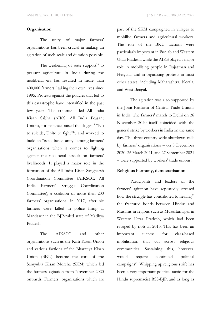#### **Organisation**

The unity of major farmers' organisations has been crucial in making an agitation of such scale and duration possible.

The weakening of state support<sup>16</sup> to peasant agriculture in India during the neoliberal era has resulted in more than  $400,000$  farmers<sup>17</sup> taking their own lives since 1995. Protests against the policies that led to this catastrophe have intensified in the past few years. The communist-led All India Kisan Sabha (AIKS; All India Peasant Union), for instance, raised the slogan $18 \text{ } \text{°}$  No to suicide; Unite to fight"19, and worked to build an "issue-based unity" among farmers' organisations when it comes to fighting against the neoliberal assault on farmers' livelihoods. It played a major role in the formation of the All India Kisan Sangharsh Coordination Committee (AIKSCC; All India Farmers' Struggle Coordination Committee), a coalition of more than 200 farmers' organisations, in 2017, after six farmers were killed in police firing at Mandsaur in the BJP-ruled state of Madhya Pradesh.

The AIKSCC and other organisations such as the Kirti Kisan Union and various factions of the Bharatiya Kisan Union (BKU) became the core of the Samyukta Kisan Morcha (SKM) which led the farmers' agitation from November 2020 onwards. Farmers' organisations which are part of the SKM campaigned in villages to mobilise farmers and agricultural workers. The role of the BKU factions were particularly important in Punjab and Western Uttar Pradesh, while the AIKS played a major role in mobilising people in Rajasthan and Haryana, and in organising protests in most other states, including Maharashtra, Kerala, and West Bengal.

The agitation was also supported by the Joint Platform of Central Trade Unions in India. The farmers' march to Delhi on 26 November 2020 itself coincided with the general strike by workers in India on the same day. The three country-wide shutdown calls by farmers' organisations – on 8 December 2020, 26 March 2021, and 27 September 2021 – were supported by workers' trade unions.

### **Religious harmony, democratisation**

Participants and leaders of the farmers' agitation have repeatedly stressed how the struggle has contributed to healing<sup>20</sup> the fractured bonds between Hindus and Muslims in regions such as Muzaffarnagar in Western Uttar Pradesh, which had been ravaged by riots in 2013. This has been an important success for class-based mobilisation that cut across religious communities. Sustaining this, however, would require continued political campaigns $^{21}$ . Whipping up religious strife has been a very important political tactic for the Hindu supremacist RSS-BJP, and as long as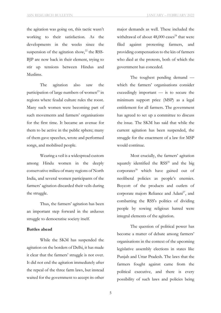the agitation was going on, this tactic wasn't working to their satisfaction. As the developments in the weeks since the suspension of the agitation show,<sup>22</sup> the RSS-BJP are now back in their element, trying to stir up tensions between Hindus and Muslims.

The agitation also saw the participation of large numbers of women<sup>23</sup> in regions where feudal culture rules the roost. Many such women were becoming part of such movements and farmers' organisations for the first time. It became an avenue for them to be active in the public sphere; many of them gave speeches, wrote and performed songs, and mobilised people.

Wearing a veil is a widespread custom among Hindu women in the deeply conservative milieu of many regions of North India, and several women participants of the farmers' agitation discarded their veils during the struggle.

Thus, the farmers' agitation has been an important step forward in the arduous struggle to democratise society itself.

#### **Battles ahead**

While the SKM has suspended the agitation on the borders of Delhi, it has made it clear that the farmers' struggle is not over. It did not end the agitation immediately after the repeal of the three farm laws, but instead waited for the government to accept its other

major demands as well. These included the withdrawal of about  $48,000$  cases<sup>24</sup> that were filed against protesting farmers, and providing compensation to the kin of farmers who died at the protests, both of which the government has conceded.

The toughest pending demand which the farmers' organisations consider exceedingly important — is to secure the minimum support price (MSP) as a legal entitlement for all farmers. The government has agreed to set up a committee to discuss the issue. The SKM has said that while the current agitation has been suspended, the struggle for the enactment of a law for MSP would continue.

Most crucially, the farmers' agitation squarely identified the  $RSS^{25}$  and the big  $corporates<sup>26</sup>$  which have gained out of neoliberal policies as people's enemies. Boycott of the products and outlets of corporate majors Reliance and Adani<sup>27</sup>, and combatting the RSS's politics of dividing people by sowing religious hatred were integral elements of the agitation.

The question of political power has become a matter of debate among farmers' organisations in the context of the upcoming legislative assembly elections in states like Punjab and Uttar Pradesh. The laws that the farmers fought against came from the political executive, and there is every possibility of such laws and policies being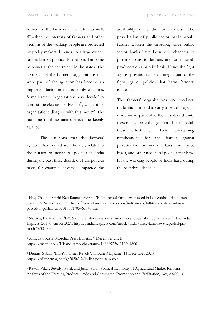foisted on the farmers in the future as well. Whether the interests of farmers and other sections of the working people are protected by policy makers depends, to a large extent, on the kind of political formations that come to power at the centre and in the states. The approach of the farmers' organisations that were part of the agitation has become an important factor in the assembly elections. Some farmers' organisations have decided to contest the elections in Punjab<sup>28</sup>, while other organisations disagree with this move<sup>29</sup>. The outcome of these tactics would be keenly awaited.

The questions that the farmers' agitation have raised are intimately related to the pursuit of neoliberal policies in India during the past three decades. These policies have, for example, adversely impacted the

-

availability of credit for farmers. The privatisation of public sector banks would further worsen the situation, since public sector banks have been vital channels to provide loans to farmers and other small producers on a priority basis. Hence the fight against privatisation is an integral part of the fight against policies that harm farmers' interests.

The farmers' organisations and workers' trade unions intend to carry forward the gains made — in particular, the class-based unity forged — during the agitation. If successful, these efforts will have far-reaching ramifications for the battles against privatisation, anti-worker laws, fuel price hikes, and other neoliberal policies that have hit the working people of India hard during the past three decades.

<sup>1</sup> Haq, Zia, and Smriti Kak Ramachandran, "Bill to repeal farm laws passed in Lok Sabha", Hindustan Times, 29 November 2021: https://www.hindustantimes.com/india-news/bill-to-repeal-farm-lawspassed-in-parliament-101638170546104.html

<sup>2</sup> Sharma, Harikrishna, "PM Narendra Modi says sorry, announces repeal of three farm laws", The Indian Express, 20 November 2021: https://indianexpress.com/article/india/three-farm-laws-repealed-pmmodi-7630405/

<sup>3</sup> Samyukta Kisan Morcha, Press Bulletin, 9 December 2021: https://twitter.com/Kisanektamorcha/status/1468892261312204800

<sup>4</sup> Dennis, Subin, "India's Farmer Revolt", Tribune Magazine, 14 December 2020: https://tribunemag.co.uk/2020/12/indias-popular-revolt

<sup>5</sup> Rawal, Vikas, Suvidya Patel, and Jesim Pais, "Political Economy of Agricultural Market Reforms: Analysis of the Farming Produce Trade and Commerce (Promotion and Facilitation) Act, 2020", 10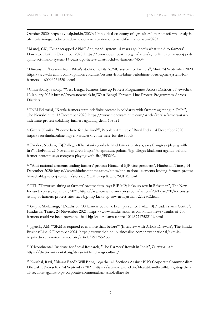-October 2020: https://vikalp.ind.in/2020/10/political-economy-of-agricultural-market-reforms-analysisof-the-farming-produce-trade-and-commerce-promotion-and-facilitation-act-2020/

<sup>6</sup> Manoj, CK, "Bihar scrapped APMC Act, mandi system 14 years ago; here's what it did to farmers", Down To Earth, 7 December 2020: https://www.downtoearth.org.in/news/agriculture/bihar-scrappedapmc-act-mandi-system-14-years-ago-here-s-what-it-did-to-farmers-74534

<sup>7</sup> Himanshu, "Lessons from Bihar's abolition of its APMC system for farmers", Mint, 24 September 2020: https://www.livemint.com/opinion/columns/lessons-from-bihar-s-abolition-of-its-apmc-system-forfarmers-11600962615201.html

<sup>8</sup> Chakraborty, Sandip, "West Bengal Farmers Line up Protest Programmes Across Districts", Newsclick, 12 January 2021: https://www.newsclick.in/West-Bengal-Farmers-Line-Protest-Programmes-Across-**Districts** 

<sup>9</sup> TNM Editorial, "Kerala farmers start indefinite protest in solidarity with farmers agitating in Delhi", The NewsMinute, 13 December 2020: https://www.thenewsminute.com/article/kerala-farmers-startindefinite-protest-solidarity-farmers-agitating-delhi-139521

<sup>10</sup> Gupta, Kanika, "'I come here for the food'", People's Archive of Rural India, 14 December 2020: https://ruralindiaonline.org/en/articles/i-come-here-for-the-food/

<sup>11</sup> Pandey, Neelam, "BJP alleges Khalistani agenda behind farmer protests, says Congress playing with fire", ThePrint, 27 November 2020: https://theprint.in/politics/bjp-alleges-khalistani-agenda-behindfarmer-protests-says-congress-playing-with-fire/553292/

<sup>12</sup> "Anti-national elements leading farmers' protest: Himachal BJP vice-president", Hindustan Times, 14 December 2020: https://www.hindustantimes.com/cities/anti-national-elements-leading-farmers-protesthimachal-bjp-vice-president/story-c8rY3ELvsoqyKCFjc7SUPM.html

<sup>13</sup> PTI, "Terrorists sitting at farmers' protest sites, says BJP MP; kicks up row in Rajasthan", The New Indian Express, 20 January 2021: https://www.newindianexpress.com/nation/2021/jan/20/terroristssitting-at-farmers-protest-sites-says-bjp-mp-kicks-up-row-in-rajasthan-2252803.html

<sup>14</sup> Gupta, Shubhangi, "'Deaths of 700 farmers could've been prevented had...': BJP leader slams Centre", Hindustan Times, 24 November 2021: https://www.hindustantimes.com/india-news/deaths-of-700 farmers-could-ve-been-prevented-had-bjp-leader-slams-centre-101637747582116.html

<sup>15</sup> Jigeesh, AM: "'SKM is required even more than before'" (Interview with Ashok Dhawale), The Hindu BusinessLine, 9 December 2021: https://www.thehindubusinessline.com/news/national/skm-isrequired-even-more-than-before/article37917552.ece

<sup>16</sup> Tricontinental: Institute for Social Research, "The Farmers' Revolt in India", *Dossier no. 41*: https://thetricontinental.org/dossier-41-india-agriculture/

<sup>17</sup> Kaushal, Ravi, "Bharat Bandh Will Bring Together all Sections Against BJP's Corporate Communalism: Dhawale", Newsclick, 24 September 2021: https://www.newsclick.in/bharat-bandh-will-bring-togetherall-sections-against-bjps-corporate-communalism-ashok-dhawale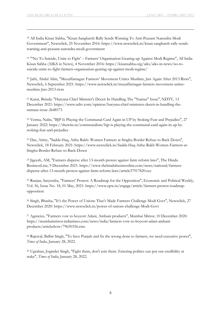-

<sup>18</sup> All India Kisan Sabha, "Kisan Sangharsh Rally Sends Warning To Anti-Peasant Narendra Modi Government", Newsclick, 25 November 2016: https://www.newsclick.in/kisan-sangharsh-rally-sendswarning-anti-peasant-narendra-modi-government

<sup>19</sup> "'No To Suicide, Unite to Fight' – Farmers' Organisation Gearing-up Against Modi Regime", All India Kisan Sabha (AIKS in News), 4 November 2016: https://kisansabha.org/aiks/aiks-in-news/no-tosuicide-unite-to-fight-farmers-organisation-gearing-up-against-modi-regime/

<sup>20</sup> Jafri, Abdul Alim, "Muzaffarnagar: Farmers' Movement Unites Muslims, Jats Again After 2013 Riots", Newsclick, 6 September 2021: https://www.newsclick.in/muzaffarnagar-farmers-movement-unitesmuslims-Jats-2013-riots

<sup>21</sup> Karat, Brinda: "Haryana Chief Minister's Deceit In Handling The "Namaz" Issue", NDTV, 13 December 2021: https://www.ndtv.com/opinion/haryana-chief-ministers-deceit-in-handling-thenamaaz-issue-2648573

<sup>22</sup> Verma, Nalin, "BJP Is Playing the Communal Card Again in UP by Stoking Fear and Prejudice", 27 January 2022: https://thewire.in/communalism/bjp-is-playing-the-communal-card-again-in-up-bystoking-fear-and-prejudice

<sup>23</sup> Das, Aritry, "Sadda Haq, Aithe Rakh: Women Farmers at Singhu Border Refuse to Back Down", Newsclick, 18 February 2021: https://www.newsclick.in/Sadda-Haq-Aithe-Rakh-Women-Farmers-at-Singhu-Border-Refuse-to-Back-Down

<sup>24</sup> Jigeesh, AM, "Farmers disperse after 13-month protest against farm reform laws", The Hindu BusinessLine, 9 December 2021: https://www.thehindubusinessline.com/news/national/farmersdisperse-after-13-month-protest-against-farm-reform-laws/article37917820.ece

<sup>25</sup> Ranjan, Satyendra, "Farmers' Protest: A Roadmap for the Opposition", Economic and Political Weekly, Vol. 56, Issue No. 18, 01 May, 2021: https://www.epw.in/engage/article/farmers-protest-roadmapopposition

<sup>26</sup> Singh, Bhasha, "It's the Power of Unions That's Made Farmers Challenge Modi Govt", Newsclick, 27 December 2020: https://www.newsclick.in/power-of-unions-challenge-Modi-Govt

<sup>27</sup> Agencies, "Farmers vow to boycott Adani, Ambani products", Mumbai Mirror, 10 December 2020: https://mumbaimirror.indiatimes.com/news/india/farmers-vow-to-boycott-adani-ambaniproducts/articleshow/79650356.cms

<sup>28</sup> Rajewal, Balbir Singh, "To Save Punjab and fix the wrong done to farmers, we need executive power", *Times of India*, January 28, 2022.

<sup>29</sup> Ugrahan, Joginder Singh, "Fight them, don't join them. Entering politics can put our credibility at stake", *Times of India*, January 28, 2022.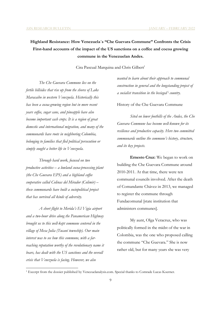# **Highland Resistance: How Venezuela´s "Che Guevara Commune" Confronts the Crisis First-hand accounts of the impact of the US sanctions on a coffee and cocoa growing commune in the Venezuelan Andes.**

Cira Pascual Marquina and Chris Gilbert<sup>1</sup>

*The Che Guevara Commune lies on the fertile hillsides that rise up from the shores of Lake Maracaibo in western Venezuela. Historically this has been a cocoa-growing region but in more recent years coffee, sugar cane, and pineapple have also become important cash crops. It is a region of great domestic and international migration, and many of the communards have roots in neighboring Colombia, belonging to families that fled political persecution or simply sought a better life in Venezuela.* 

*Through hard work, focused on two productive activities – a lowland cocoa-processing plant (the Che Guevara EPS) and a highland coffee cooperative called Colinas del Mirador (Colimir) – these communards have built a sociopolitical project that has survived all kinds of adversity.*

*A short flight to Merida's El Vigia airport and a two-hour drive along the Panamerican Highway brought us to this well-kept commune centered in the village of Mesa Julia (Tucaní township). Our main interest was to see how this commune, with a farreaching reputation worthy of the revolutionary name it bears, has dealt with the US sanctions and the overall crisis that Venezuela is facing. However, we also* 

1

*wanted to learn about their approach to communal construction in general and the longstanding project of a socialist transition in the besieged* <sup>i</sup> *country.*

History of the Che Guevara Commune

*Sited on lower foothills of the Andes, the Che Guevara Commune has become well-known for its resilience and productive capacity. Here two committed communards outline the commune's history, structure, and its key projects.*

**Ernesto Cruz:** We began to work on building the Che Guevara Commune around 2010-2011. At that time, there were ten communal councils involved. After the death of Comandante Chávez in 2013, we managed to register the commune through Fundacomunal [state institution that administers communes].

My aunt, Olga Veracruz, who was politically formed in the midst of the war in Colombia, was the one who proposed calling the commune "Che Guevara." She is now rather old, but for many years she was very

<sup>1</sup> Excerpt from the dossier published by Venezuelanalysis.com. Special thanks to Comrade Lucas Koerner.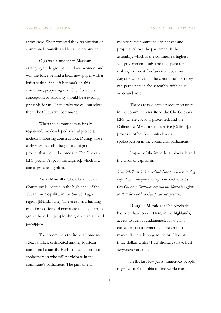active here. She promoted the organization of communal councils and later the commune.

Olga was a student of Marxism, arranging study groups with local women, and was the force behind a local newspaper with a leftist vision. She left her mark on this commune, proposing that Che Guevara's conception of solidarity should be a guiding principle for us. That is why we call ourselves the "Che Guevara" Commune.

When the commune was finally registered, we developed several projects, including housing construction. During those early years, we also began to design the project that would become the Che Guevara EPS [Social Property Enterprise], which is a cocoa processing plant.

**Zulai Montilla:** The Che Guevara Commune is located in the highlands of the Tucaní municipality, in the Sur del Lago region [Mérida state]. The area has a farming tradition: coffee and cocoa are the main crops grown here, but people also grow plantain and pineapple.

The commune's territory is home to 1562 families, distributed among fourteen communal councils. Each council chooses a spokesperson who will participate in the commune's parliament. The parliament

monitors the commune's initiatives and projects. Above the parliament is the assembly, which is the commune's highest self-government body and the space for making the most fundamental decisions. Anyone who lives in the commune's territory can participate in the assembly, with equal voice and vote.

There are two active production units in the commune's territory: the Che Guevara EPS, where cocoa is processed, and the Colinas del Mirador Cooperative [Colimir], to process coffee. Both units have a spokesperson in the communal parliament.

Impact of the imperialist blockade and the crisis of capitalism

*Since 2017, the US sanctionsii have had a devastating impact on Venezuelan society. The workers at the Che Guevara Commune explain the blockade's effects on their lives and on their productive projects.*

**Douglas Mendoza:** The blockade has been hard on us. Here, in the highlands, access to fuel is fundamental. How can a coffee or cocoa farmer take the crop to market if there is no gasoline or if it costs three dollars a liter? Fuel shortages have hurt *campesino*s very much.

In the last few years, numerous people migrated to Colombia to find work: many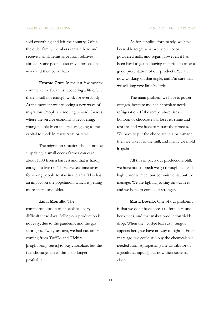sold everything and left the country. Often the older family members remain here and receive a small remittance from relatives abroad. Some people also travel for seasonal work and then come back.

**Ernesto Cruz:** In the last few months commerce in Tucaní is recovering a little, but there is still not enough work for everybody. At the moment we are seeing a new wave of migration. People are moving toward Caracas, where the service economy is recovering: young people from the area are going to the capital to work in restaurants or retail.

The migration situation should not be surprising: a small cocoa farmer can earn about \$500 from a harvest and that is hardly enough to live on. There are few incentives for young people to stay in the area. This has an impact on the population, which is getting more sparse and older.

#### **Zulai Montilla:** The

commercialization of chocolate is very difficult these days. Selling our production is not easy, due to the pandemic and the gas shortages. Two years ago, we had customers coming from Trujillo and Táchira [neighboring states] to buy chocolate, but the fuel shortages mean this is no longer profitable.

As for supplies, fortunately, we have been able to get what we need: cocoa, powdered milk, and sugar. However, it has been hard to get packaging materials to offer a good presentation of our products. We are now working on that angle, and I'm sure that we will improve little by little.

The main problem we have is power outages, because molded chocolate needs refrigeration. If the temperature rises a bonbon or chocolate bar loses its shine and texture, and we have to restart the process. We have to put the chocolate in a bain-marie, then we take it to the mill, and finally we mold it again.

All this impacts our production. Still, we have not stopped: we go through hell and high water to meet our commitments, but we manage. We are fighting to stay on our feet, and we hope to come out stronger.

**Marta Botello:** One of our problems is that we don't have access to fertilizers and herbicides, and that makes production yields drop. When the "coffee leaf rust" fungus appears here, we have no way to fight it. Four years ago, we could still buy the chemicals we needed from Agropatria [state distributor of agricultural inputs], but now their store has closed.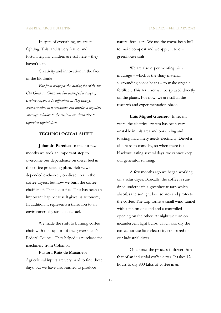In spite of everything, we are still fighting. This land is very fertile, and fortunately my children are still here – they haven't left.

Creativity and innovation in the face of the blockade

*Far from being passive during the crisis, the Che Guevara Commune has developed a range of creative responses to difficulties as they emerge, demonstrating that communes can provide a popular, sovereign solution to the crisis – an alternative to capitalist capitulation.*

#### **TECHNOLOGICAL SHIFT**

**Johandri Paredes:** In the last few months we took an important step to overcome our dependence on diesel fuel in the coffee processing plant. Before we depended exclusively on diesel to run the coffee dryers, but now we burn the coffee chaff itself. That is our fuel! This has been an important leap because it gives us autonomy. In addition, it represents a transition to an environmentally sustainable fuel.

We made the shift to burning coffee chaff with the support of the government's Federal Council. They helped us purchase the machinery from Colombia.

#### **Pastora Ruiz de Macaneo:**

Agricultural inputs are very hard to find these days, but we have also learned to produce

natural fertilizers. We use the cocoa bean hull to make compost and we apply it to our greenhouse soils.

We are also experimenting with mucilage – which is the slimy material surrounding cocoa beans – to make organic fertilizer. This fertilizer will be sprayed directly on the plants. For now, we are still in the research and experimentation phase.

**Luis Miguel Guerrero**: In recent years, the electrical system has been very unstable in this area and our drying and toasting machinery needs electricity. Diesel is also hard to come by, so when there is a blackout lasting several days, we cannot keep our generator running.

A few months ago we began working on a solar dryer. Basically, the coffee is sundried underneath a greenhouse tarp which absorbs the sunlight but isolates and protects the coffee. The tarp forms a small wind tunnel with a fan on one end and a controlled opening on the other. At night we turn on incandescent light bulbs, which also dry the coffee but use little electricity compared to our industrial dryer.

Of course, the process is slower than that of an industrial coffee dryer. It takes 12 hours to dry 800 kilos of coffee in an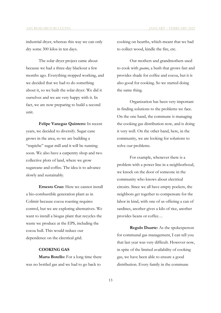industrial dryer, whereas this way we can only dry some 300 kilos in ten days.

The solar dryer project came about because we had a three-day blackout a few months ago. Everything stopped working, and we decided that we had to do something about it, so we built the solar dryer. We did it ourselves and we are very happy with it. In fact, we are now preparing to build a second unit.

**Felipe Vanegaz Quintero:** In recent years, we decided to diversify. Sugar cane grows in the area, so we are building a "trapiche" sugar mill and it will be running soon. We also have a carpentry shop and two collective plots of land, where we grow sugarcane and coffee. The idea is to advance slowly and sustainably.

**Ernesto Cruz:** Here we cannot install a bio-combustible generation plant as in Colimir because cocoa roasting requires control, but we are exploring alternatives. We want to install a biogas plant that recycles the waste we produce at the EPS, including the cocoa hull. This would reduce our dependence on the electrical grid.

#### **COOKING GAS**

**Marta Botello:** For a long time there was no bottled gas and we had to go back to

cooking on hearths, which meant that we had to collect wood, kindle the fire, etc.

Our mothers and grandmothers used to cook with *guamo*, a bush that grows fast and provides shade for coffee and cocoa, but it is also good for cooking. So we started doing the same thing.

Organization has been very important in finding solutions to the problems we face. On the one hand, the commune is managing the cooking gas distribution now, and is doing it very well. On the other hand, here, in the community, we are looking for solutions to solve our problems.

For example, whenever there is a problem with a power line in a neighborhood, we knock on the door of someone in the community who knows about electrical circuits. Since we all have empty pockets, the neighbors get together to compensate for the labor in kind, with one of us offering a can of sardines, another gives a kilo of rice, another provides beans or coffee…

**Regulo Duarte:** As the spokesperson for communal gas management, I can tell you that last year was very difficult. However now, in spite of the limited availability of cooking gas, we have been able to ensure a good distribution. Every family in the commune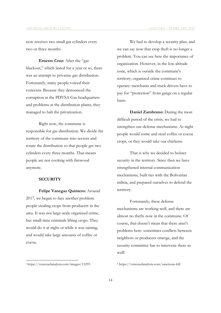now receives two small gas cylinders every two or three months.

**Ernesto Cruz:** After the "gas blackout," which lasted for a year or so, there was an attempt to privatize gas distribution. Fortunately, many people voiced their concerns. Because they denounced the corruption at the PDVSA Gas headquarters and problems at the distribution plants, they managed to halt the privatization.

Right now, the commune is responsible for gas distribution. We divide the territory of the commune into sectors and rotate the distribution so that people get two cylinders every three months. That means people are not cooking with firewood anymore.

#### **SECURITY**

**Felipe Vanegaz Quintero:** Around 2017, we began to face another problem: people stealing crops from producers in the area. It was not large-scale organized crime, but small-time criminals lifting crops. They would do it at night or while it was raining, and would take large amounts of coffee or cocoa.

We had to develop a security plan, and we can say now that crop theft is no longer a problem. You can see here the importance of organization. However, in the low altitude zone, which is outside the commune's territory, organized crime continues to operate: merchants and truck drivers have to pay for "protection" from gangs on a regular basis.

**Daniel Zambrano:** During the most difficult period of the crisis, we had to strengthen our defense mechanisms. At night people would come and steal coffee or cocoa crops, or they would take our chickens.

That is why we decided to bolster security in the territory. Since then we have strengthened internal communication mechanisms, built ties with the Bolivarian militia, and prepared ourselves to defend the territory.

Fortunately, these defense mechanisms are working well, and there are almost no thefts now in the commune. Of course, that doesn't mean that there aren't problems here: sometimes conflicts between neighbors or producers emerge, and the security committee has to intervene there as well!

<u>.</u>

ii https://venezuelanalysis.com/sanctions-kill

<sup>i</sup> https://venezuelanalysis.com/images/15295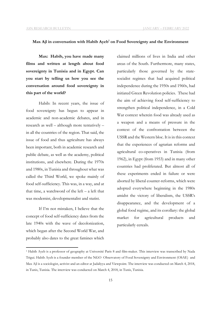#### **Max Ajl in conversation with Habib Ayeb<sup>1</sup> on Food Sovereignty and the Environment**

**Max: Habib, you have made many films and written at length about food sovereignty in Tunisia and in Egypt. Can you start by telling us how you see the conversation around food sovereignty in this part of the world?**

Habib: In recent years, the issue of food sovereignty has begun to appear in academic and non-academic debates, and in research as well – although more tentatively – in all the countries of the region. That said, the issue of food and thus agriculture has always been important, both in academic research and public debate, as well as the academy, political institutions, and elsewhere. During the 1970s and 1980s, in Tunisia and throughout what was called the Third World, we spoke mainly of food self-sufficiency. This was, in a way, and at that time, a watchword of the left – a left that was modernist, developmentalist and statist.

If I'm not mistaken, I believe that the concept of food self-sufficiency dates from the late 1940s with the wave of decolonization, which began after the Second World War, and probably also dates to the great famines which

**.** 

claimed millions of lives in India and other areas of the South. Furthermore, many states, particularly those governed by the statesocialist regimes that had acquired political independence during the 1950s and 1960s, had initiated Green Revolution policies. These had the aim of achieving food self-sufficiency to strengthen political independence, in a Cold War context wherein food was already used as a weapon and a means of pressure in the context of the confrontation between the USSR and the Western bloc. It is in this context that the experiences of agrarian reforms and agricultural co-operatives in Tunisia (from 1962), in Egypt (from 1953) and in many other countries had proliferated. But almost all of these experiments ended in failure or were aborted by liberal counter-reforms, which were adopted everywhere beginning in the 1980s amidst the victory of liberalism, the USSR's disappearance, and the development of a global food regime, and its corollary: the global market for agricultural products and particularly cereals.

<sup>1</sup> Habib Ayeb is a professor of geography at Université Paris 8 and film-maker. This interview was transcribed by Nada Trigui. Habib Ayeb is a founder member of the NGO Observatory of Food Sovereignty and Environment (OSAE) and Max Ajl is a sociologist, activist and an editor at Jadaliyya and Viewpoint. The interview was conducted on March 4, 2018, in Tunis, Tunisia. The interview was conducted on March 4, 2018, in Tunis, Tunisia.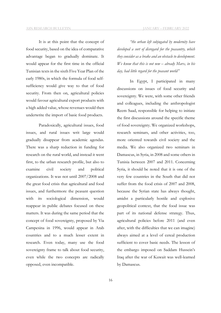It is at this point that the concept of food security, based on the idea of comparative advantage began to gradually dominate. It would appear for the first time in the official Tunisian texts in the sixth Five Year Plan of the early 1980s, in which the formula of food selfsufficiency would give way to that of food security. From then on, agricultural policies would favour agricultural export products with

a high added value, whose revenues would then

underwrite the import of basic food products.

Paradoxically, agricultural issues, food issues, and rural issues writ large would gradually disappear from academic agendas. There was a sharp reduction in funding for research on the rural world, and instead it went first, to the urban research profile, but also to examine civil society and political organizations. It was not until 2007/2008 and the great food crisis that agricultural and food issues, and furthermore the peasant question with its sociological dimension, would reappear in public debates focused on these matters. It was during the same period that the concept of food sovereignty, proposed by Via Campesina in 1996, would appear in Arab countries and to a much lesser extent in research. Even today, many use the food sovereignty frame to talk about food security, even while the two concepts are radically opposed, even incompatible.

*"the urban left subjugated by modernity have developed a sort of disregard for the peasantry, which they consider as a brake and an obstacle to development. We know that this is not new – already Marx, in his day, had little regard for the peasant world"*

In Egypt, I participated in many discussions on issues of food security and sovereignty. We were, with some other friends and colleagues, including the anthropologist Reem Saad, responsible for helping to initiate the first discussions around the specific theme of food sovereignty. We organized workshops, research seminars, and other activities, too, more oriented towards civil society and the media. We also organized two seminars in Damascus, in Syria, in 2008 and some others in Tunisia between 2007 and 2011. Concerning Syria, it should be noted that it is one of the very few countries in the South that did not suffer from the food crisis of 2007 and 2008, because the Syrian state has always thought, amidst a particularly hostile and explosive geopolitical context, that the food issue was part of its national defense strategy. Thus, agricultural policies before 2011 (and even after, with the difficulties that we can imagine) always aimed at a level of cereal production sufficient to cover basic needs. The lesson of the embargo imposed on Saddam Hussein's Iraq after the war of Kuwait was well-learned by Damascus.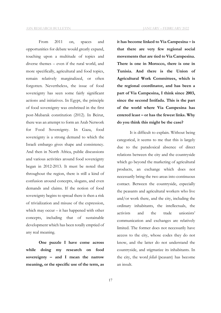From 2011 on, spaces and opportunities for debate would greatly expand, touching upon a multitude of topics and diverse themes – even if the rural world, and more specifically, agricultural and food topics, remain relatively marginalized, or often forgotten. Nevertheless, the issue of food sovereignty has seen some fairly significant actions and initiatives. In Egypt, the principle of food sovereignty was enshrined in the first post-Mubarak constitution (2012). In Beirut, there was an attempt to form an Arab Network for Food Sovereignty. In Gaza, food sovereignty is a strong demand to which the Israeli embargo gives shape and consistency. And then in North Africa, public discussions and various activities around food sovereignty began in 2012-2013. It must be noted that throughout the region, there is still a kind of confusion around concepts, slogans, and even demands and claims. If the notion of food sovereignty begins to spread there is then a risk of trivialization and misuse of the expression, which may occur – it has happened with other concepts, including that of sustainable development which has been totally emptied of any real meaning.

**One puzzle I have come across while doing my research on food sovereignty – and I mean the narrow meaning, or the specific use of the term, as**  **it has become linked to Via Campesina – is** 

**that there are very few regional social movements that are tied to Via Campesina. There is one in Morocco, there is one in Tunisia. And there is the Union of Agricultural Work Committees, which is the regional coordinator, and has been a part of Via Campesina, I think since 2003, since the second Intifada. This is the part of the world where Via Campesina has entered least – or has the fewest links. Why do you think this might be the case?**

It is difficult to explain. Without being categorical, it seems to me that this is largely due to the paradoxical absence of direct relations between the city and the countryside which go beyond the marketing of agricultural products, an exchange which does not necessarily bring the two areas into continuous contact. Between the countryside, especially the peasants and agricultural workers who live and/or work there, and the city, including the ordinary inhabitants, the intellectuals, the activists and the trade unionists' communication and exchanges are relatively limited. The former does not necessarily have access to the city, whose codes they do not know, and the latter do not understand the countryside, and stigmatize its inhabitants. In the city, the word *fellah* (peasant) has become an insult.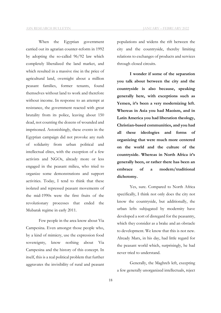When the Egyptian government carried out its agrarian counter-reform in 1992 by adopting the so-called 96/92 law which completely liberalized the land market, and which resulted in a massive rise in the price of agricultural land, overnight about a million peasant families, former tenants, found themselves without land to work and therefore without income. In response to an attempt at resistance, the government reacted with great brutality from its police, leaving about 150 dead, not counting the dozens of wounded and imprisoned. Astonishingly, these events in the Egyptian campaign did not provoke any rush of solidarity from urban political and intellectual elites, with the exception of a few activists and NGOs, already more or less engaged in the peasant milieu, who tried to organize some demonstrations and support activities. Today, I tend to think that these isolated and repressed peasant movements of the mid-1990s were the first fruits of the revolutionary processes that ended the Mubarak regime in early 2011.

Few people in the area know about Via Campesina. Even amongst those people who, by a kind of mimicry, use the expression food sovereignty, know nothing about Via Campesina and the history of this concept. In itself, this is a real political problem that further aggravates the invisibility of rural and peasant populations and widens the rift between the city and the countryside, thereby limiting relations to exchanges of products and services through closed circuits.

**I wonder if some of the separation you talk about between the city and the countryside is also because, speaking generally here, with exceptions such as Yemen, it's been a very modernizing left. Whereas in Asia you had Maoism, and in Latin America you had liberation theology, Christian-based communities, and you had all these ideologies and forms of organizing that were much more centered on the world and the culture of the countryside. Whereas in North Africa it's generally been, or rather there has been an embrace of a modern/traditional dichotomy.**

Yes, sure. Compared to North Africa specifically, I think not only does the city not know the countryside, but additionally, the urban lefts subjugated by modernity have developed a sort of disregard for the peasantry, which they consider as a brake and an obstacle to development. We know that this is not new. Already Marx, in his day, had little regard for the peasant world which, surprisingly, he had never tried to understand.

Generally, the Maghreb left, excepting a few generally unorganized intellectuals, reject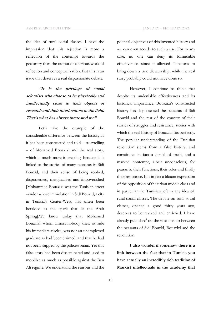the idea of rural social classes. I have the impression that this rejection is more a reflection of the contempt towards the peasantry than the output of a serious work of reflection and conceptualization. But this is an issue that deserves a real dispassionate debate.

**"It is the privilege of social scientists who choose to be physically and intellectually close to their objects of research and their interlocutors in the field. That's what has always interested me"**

Let's take the example of the considerable difference between the history as it has been constructed and told – storytelling – of Mohamed Bouazizi and the real story, which is much more interesting, because it is linked to the stories of many peasants in Sidi Bouzid, and their sense of being robbed, dispossessed, marginalized and impoverished [Mohammed Bouazizi was the Tunisian street vendor whose immolation in Sidi Bouzid, a city in Tunisia's Center-West, has often been heralded as the spark that lit the Arab Spring].We know today that Mohamed Bouazizi, whom almost nobody knew outside his immediate circles, was not an unemployed graduate as had been claimed, and that he had not been slapped by the policewoman. Yet this false story had been disseminated and used to mobilize as much as possible against the Ben Ali regime. We understand the reasons and the political objectives of this invented history and we can even accede to such a use. For in any case, no one can deny its formidable effectiveness since it allowed Tunisians to bring down a true dictatorship, while the real story probably could not have done so.

However, I continue to think that despite its undeniable effectiveness and its historical importance, Bouazizi's constructed history has dispossessed the peasants of Sidi Bouzid and the rest of the country of their stories of struggles and resistance, stories with which the real history of Bouazizi fits perfectly. The popular understanding of the Tunisian revolution stems from a false history, and constitutes in fact a denial of truth, and a marked contempt, albeit unconscious, for peasants, their functions, their roles and finally their resistance. It is in fact a blatant expression of the opposition of the urban middle class and in particular the Tunisian left to any idea of rural social classes. The debate on rural social classes, opened a good thirty years ago, deserves to be revived and enriched. I have already published on the relationship between the peasants of Sidi Bouzid, Bouazizi and the revolution.

**I also wonder if somehow there is a link between the fact that in Tunisia you have actually an incredibly rich tradition of Marxist intellectuals in the academy that**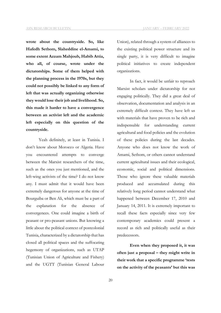**wrote about the countryside. So, like Hafedh Sethom, Slaheddine el-Amami, to some extent Azzam Mahjoub, Habib Attia, who all, of course, wrote under the dictatorships. Some of them helped with the planning process in the 1970s, but they could not possibly be linked to any form of left that was actually organizing otherwise they would lose their job and livelihood. So, this made it harder to have a convergence between an activist left and the academic left especially on this question of the countryside.**

Yeah definitely, at least in Tunisia. I don't know about Morocco or Algeria. Have you encountered attempts to converge between the Marxist researchers of the time, such as the ones you just mentioned, and the left-wing activists of the time? I do not know any. I must admit that it would have been extremely dangerous for anyone at the time of Bourguiba or Ben Ali, which must be a part of the explanation for the absence of convergences. One could imagine a birth of peasant or pro-peasant unions. But knowing a little about the political context of postcolonial Tunisia, characterized by a dictatorship that has closed all political spaces and the suffocating hegemony of organizations, such as UTAP (Tunisian Union of Agriculture and Fishery) and the UGTT (Tunisian General Labour

Union), related through a system of alliances to the existing political power structure and its single party, it is very difficult to imagine political initiatives to create independent organizations.

In fact, it would be unfair to reproach Marxist scholars under dictatorship for not engaging politically. They did a great deal of observation, documentation and analysis in an extremely difficult context. They have left us with materials that have proven to be rich and indispensable for understanding current agricultural and food policies and the evolution of these policies during the last decades. Anyone who does not know the work of Amami, Sethom, or others cannot understand current agricultural issues and their ecological, economic, social and political dimensions. Those who ignore these valuable materials produced and accumulated during this relatively long period cannot understand what happened between December 17, 2010 and January 14, 2011. It is extremely important to recall these facts especially since very few contemporary academics could present a record as rich and politically useful as their predecessors.

**Even when they proposed it, it was often just a proposal – they might write in their work that a specific programme 'rests on the activity of the peasants' but this was**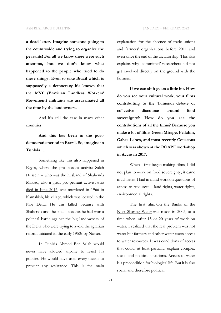**a dead letter. Imagine someone going to the countryside and trying to organize the peasants! For all we know there were such attempts, but we don't know what happened to the people who tried to do these things. Even to take Brazil which is supposedly a democracy it's known that the MST (Brazilian Landless Workers' Movement) militants are assassinated all the time by the landowners.**

And it's still the case in many other countries.

**And this has been in the postdemocratic period in Brazil. So, imagine in Tunisia …**

Something like this also happened in Egypt, where the pro-peasant activist Salah Hussein – who was the husband of Shahenda Maklad, also a great pro-peasant activist who died in June 2016 -was murdered in 1966 in Kamshish, his village, which was located in the Nile Delta. He was killed because with Shahenda and the small peasants he had won a political battle against the big landowners of the Delta who were trying to avoid the agrarian reform initiated in the early 1950s by Nasser.

In Tunisia Ahmed Ben Salah would never have allowed anyone to resist his policies. He would have used every means to prevent any resistance. This is the main

explanation for the absence of trade unions and farmers' organizations before 2011 and even since the end of the dictatorship. This also explains why 'committed' researchers did not get involved directly on the ground with the farmers.

**If we can shift gears a little bit. How do you see your cultural work, your films contributing to the Tunisian debate or collective discourse around food sovereignty? How do you see the contributions of all the films? Because you make a lot of films Green Mirage, Fellahin, Gabes Labes, and most recently Couscous which was shown at the ROAPE workshop in Accra in 2017.**

When I first began making films, I did not plan to work on food sovereignty, it came much later. I had in mind work on questions of access to resources – land rights, water rights, environmental rights.

The first film, On the Banks of the Nile: Sharing Water was made in 2003, at a time when, after 15 or 20 years of work on water, I realized that the real problem was not water but farmers and other water-users access to water resources. It was conditions of access that could, at least partially, explain complex social and political situations. Access to water is a precondition for biological life. But it is also social and therefore political.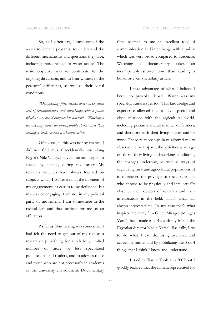So, as I often say, ' came out of the water to see the peasants, to understand the different mechanisms and questions they face, including those related to water access. The main objective was to contribute to the ongoing discussion, and to bear witness to the peasants' difficulties, as well as their social conditions.

*"Documentary films seemed to me an excellent tool of communication and interchange with a public which is very broad compared to academia. Watching a documentary takes an incomparably shorter time than reading a book, or even a scholarly article"*

Of course, all this was not by chance. I did not find myself accidentally lost along Egypt's Nile Valley. I have done nothing, so to speak, by chance, during my career. My research activities have always focused on subjects which I considered, at the moment of my engagement, as causes to be defended. It's my way of engaging. I am not in any political party or movement. I am somewhere in the radical left and that suffices for me as an affiliation.

As far as film-making was concerned, I had felt the need to get out of my role as a researcher publishing for a relatively limited number of more or less specialized publications and readers, and to address those and those who are not necessarily in academia or the university environment. Documentary

films seemed to me an excellent tool of communication and interchange with a public which was very broad compared to academia. Watching a documentary takes an incomparably shorter time than reading a book, or even a scholarly article.

I take advantage of what I believe I know to provoke debate. Water was my specialty. Rural issues too. This knowledge and experience allowed me to have special and close relations with the agricultural world, including peasants and all manner of farmers, and therefore with their living spaces and/or work. These relationships have allowed me to observe the rural space, the activities which go on there, their living and working conditions, the changes underway, as well as ways of organizing rural and agricultural populations. It is, moreover, the privilege of social scientists who choose to be physically and intellectually close to their objects of research and their interlocutors in the field. That's what has always interested me. In any case that's what inspired me in my film Green Mirages (Mirages Verts) that I made in 2012 with my friend, the Egyptian director Nadia Kamel. Basically, I try to do what I can do, using available and accessible means and by mobilizing the 3 or 4 things that I think I know and understand.

I tried to film in Tunisia in 2007 but I quickly realized that the camera represented for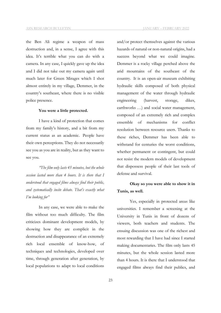the Ben Ali regime a weapon of mass destruction and, in a sense, I agree with this idea. It's terrible what you can do with a camera. In any case, I quickly gave up the idea and I did not take out my camera again until much later for Green Mirages which I shot almost entirely in my village, Demmer, in the country's southeast, where there is no visible police presence.

#### **You were a little protected.**

I have a kind of protection that comes from my family's history, and a bit from my current status as an academic. People have their own perceptions. They do not necessarily see you as you are in reality, but as they want to see you.

*"The film only lasts 45 minutes, but the whole session lasted more than 4 hours. It is there that I understood that engaged films always find their public, and systematically incite debate. That's exactly what I'm looking for"*

In any case, we were able to make the film without too much difficulty. The film criticizes dominant development models, by showing how they are complicit in the destruction and disappearance of an extremely rich local ensemble of know-how, of techniques and technologies, developed over time, through generation after generation, by local populations to adapt to local conditions hazards of natural or non-natural origins, had a success beyond what we could imagine. Demmer is a rocky village perched above the arid mountains of the southeast of the country. It is an open-air museum exhibiting hydraulic skills composed of both physical management of the water through hydraulic engineering (harvest, storage, dikes, earthworks …) and social water management, composed of an extremely rich and complex ensemble of mechanisms for conflict resolution between resource users. Thanks to these riches, Demmer has been able to withstand for centuries the worst conditions, whether permanent or contingent, but could not resist the modern models of development that dispossess people of their last tools of defense and survival.

# **Okay so you were able to show it in Tunis, as well.**

Yes, especially in protected areas like universities. I remember a screening at the University in Tunis in front of dozens of viewers, both teachers and students. The ensuing discussion was one of the richest and most rewarding that I have had since I started making documentaries. The film only lasts 45 minutes, but the whole session lasted more than 4 hours. It is there that I understood that engaged films always find their publics, and

and/or protect themselves against the various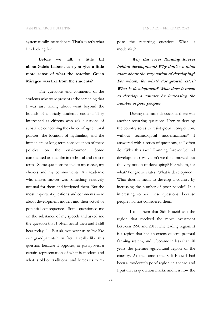systematically incite debate. That's exactly what I'm looking for.

**Before we talk a little bit about Gabès Labess, can you give a little more sense of what the reaction Green Mirages was like from the students?**

The questions and comments of the students who were present at the screening that I was just talking about went beyond the bounds of a strictly academic context. They intervened as citizens who ask questions of substance concerning the choice of agricultural policies, the location of hydraulics, and the immediate or long-term consequences of these policies on the environment. Some commented on the film in technical and artistic terms. Some questions related to my career, my choices and my commitments. An academic who makes movies was something relatively unusual for them and intrigued them. But the most important questions and comments were about development models and their actual or potential consequences. Some questioned me on the substance of my speech and asked me the question that I often heard then and I still hear today, '… But sir, you want us to live like our grandparents?' In fact, I really like this question because it opposes, or juxtaposes, a certain representation of what is modern and what is old or traditional and forces us to repose the recurring question: What is modernity?

**"Why this race? Running forever behind development? Why don't we think more about the very notion of developing? For whom, for what? For growth rates? What is development? What does it mean to develop a country by increasing the number of poor people?"**

During the same discussion, there was another recurring question: 'How to develop the country so as to resist global competition, without technological modernization?' I answered with a series of questions, as I often do: 'Why this race? Running forever behind development? Why don't we think more about the very notion of developing? For whom, for what? For growth rates? What is development? What does it mean to develop a country by increasing the number of poor people?' It is interesting to ask these questions, because people had not considered them.

I told them that Sidi Bouzid was the region that received the most investment between 1990 and 2011. The leading region. It is a region that had an extensive semi-pastoral farming system, and it became in less than 30 years the premier agricultural region of the country. At the same time Sidi Bouzid had been a 'moderately poor' region, in a sense, and I put that in quotation marks, and it is now the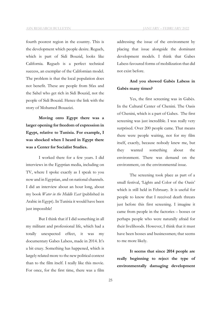fourth poorest region in the country. This is the development which people desire. Regueb, which is part of Sidi Bouzid, looks like California. Regueb is a perfect technical success, an exemplar of the Californian model. The problem is that the local population does not benefit. These are people from Sfax and the Sahel who get rich in Sidi Bouzid, not the people of Sidi Bouzid. Hence the link with the story of Mohamed Bouazizi.

**Moving onto Egypt there was a larger opening for freedom of expression in Egypt, relative to Tunisia. For example, I was shocked when I heard in Egypt there was a Center for Socialist Studies.**

I worked there for a few years. I did interviews in the Egyptian media, including on TV, where I spoke exactly as I speak to you now and in Egyptian, and on national channels. I did an interview about an hour long, about my book *Water in the Middle East* (published in Arabic in Egypt). In Tunisia it would have been just impossible!

But I think that if I did something in all my militant and professional life, which had a totally unexpected effect, it was my documentary Gabes Labess, made in 2014. It's a bit crazy. Something has happened, which is largely related more to the new political context than to the film itself. I really like this movie. For once, for the first time, there was a film

addressing the issue of the environment by placing that issue alongside the dominant development models. I think that Gabes Labess favoured forms of mobilization that did not exist before.

# **And you showed Gabès Labess in Gabès many times?**

Yes, the first screening was in Gabès. In the Cultural Center of Chenini. The Oasis of Chenini, which is a part of Gabes. The first screening was just incredible. I was really very surprised. Over 200 people came. That means there were people waiting, not for my film itself, exactly, because nobody knew me, but they wanted something about the environment. There was demand on the environment, on the environmental issue.

The screening took place as part of a small festival, 'Lights and Color of the Oasis' which is still held in February. It is useful for people to know that I received death threats just before this first screening. I imagine it came from people in the factories – bosses or perhaps people who were naturally afraid for their livelihoods. However, I think that it must have been bosses and businessmen; that seems to me more likely.

**It seems that since 2014 people are really beginning to reject the type of environmentally damaging development**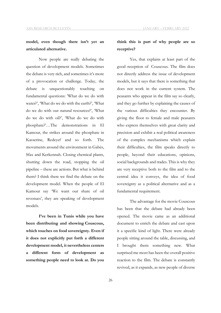# **model, even though there isn't yet an articulated alternative.**

Now people are really debating the question of development models. Sometimes the debate is very rich, and sometimes it's more of a provocation or challenge. Today, the debate is unquestionably touching on fundamental questions: 'What do we do with water?', 'What do we do with the earth?', 'What do we do with our natural resources?', 'What do we do with oil?', 'What do we do with phosphate?'…The demonstrations in El Kamour, the strikes around the phosphate in Kasserine, Redeyef and so forth. The movements around the environment in Gabès, Sfax and Kerkennah. Closing chemical plants, shutting down the road, stopping the oil pipeline – these are actions. But what is behind them? I think there we find the debate on the development model. When the people of El Kamour say 'We want our share of oil revenues', they are speaking of development models.

**I've been in Tunis while you have been distributing and showing Couscous, which touches on food sovereignty. Even if it does not explicitly put forth a different development model, it nevertheless centers a different form of development as something people need to look at. Do you** 

## **think this is part of why people are so receptive?**

Yes, that explains at least part of the good reception of Couscous. The film does not directly address the issue of development models, but it says that there is something that does not work in the current system. The peasants who appear in the film say so clearly, and they go further by explaining the causes of the various difficulties they encounter. By giving the floor to female and male peasants who express themselves with great clarity and precision and exhibit a real political awareness of the complex mechanisms which explain their difficulties, the film speaks directly to people, beyond their educations, opinions, social backgrounds and trades. This is why they are very receptive both to the film and to the central idea it conveys, the idea of food sovereignty as a political alternative and as a fundamental requirement.

The advantage for the movie Couscous has been that the debate had already been opened. The movie came as an additional document to enrich the debate and cast upon it a specific kind of light. There were already people sitting around the table, discussing, and I brought them something new. What surprised me most has been the overall positive reaction to the film. The debate is constantly revived, as it expands, as new people of diverse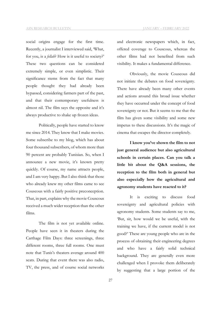social origins engage for the first time. Recently, a journalist I interviewed said, 'What, for you, is a *fellah*? How is it useful to society?' These two questions can be considered extremely simple, or even simplistic. Their significance stems from the fact that many people thought they had already been bypassed, considering farmers part of the past, and that their contemporary usefulness is almost nil. The film says the opposite and it's always productive to shake up frozen ideas.

Politically, people have started to know me since 2014. They know that I make movies. Some subscribe to my blog, which has about four thousand subscribers, of whom more than 90 percent are probably Tunisian. So, when I announce a new movie, it's known pretty quickly. Of course, my name attracts people, and I am very happy. But I also think that those who already knew my other films came to see Couscous with a fairly positive preconception. That, in part, explains why the movie Couscous received a much wider reception than the other films.

The film is not yet available online. People have seen it in theaters during the Carthage Film Days: three screenings, three different rooms, three full rooms. One must note that Tunis's theaters average around 400 seats. During that event there was also radio, TV, the press, and of course social networks and electronic newspapers which, in fact, offered coverage to Couscous, whereas the other films had not benefited from such visibility. It makes a fundamental difference.

Obviously, the movie Couscous did not initiate the debates on food sovereignty. There have already been many other events and actions around this broad issue whether they have occurred under the concept of food sovereignty or not. But it seems to me that the film has given some visibility and some new impetus to these discussions. It's the magic of cinema that escapes the director completely.

**I know you've shown the film to not just general audience but also agricultural schools in certain places. Can you talk a little bit about the Q&A sessions, the reception to the film both in general but also especially how the agricultural and agronomy students have reacted to it?**

It is exciting to discuss food sovereignty and agricultural policies with agronomy students. Some students say to me, 'But, sir, how would we be useful, with the training we have, if the current model is not good?' These are young people who are in the process of obtaining their engineering degrees and who have a fairly solid technical background. They are generally even more challenged when I provoke them deliberately by suggesting that a large portion of the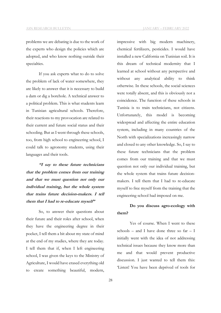problems we are debating is due to the work of the experts who design the policies which are adopted, and who know nothing outside their specialties.

If you ask experts what to do to solve the problem of lack of water somewhere, they are likely to answer that it is necessary to build a dam or dig a borehole. A technical answer to a political problem. This is what students learn in Tunisian agricultural schools. Therefore, their reactions to my provocation are related to their current and future social status and their schooling. But as I went through these schools, too, from high school to engineering school, I could talk to agronomy students, using their languages and their tools.

**"I say to these future technicians that the problem comes from our training and that we must question not only our individual training, but the whole system that trains future decision-makers. I tell them that I had to re-educate myself"**

So, to answer their questions about their future and their roles after school, when they have the engineering degree in their pocket, I tell them a bit about my state of mind at the end of my studies, where they are today. I tell them that if, when I left engineering school, I was given the keys to the Ministry of Agriculture, I would have erased everything old to create something beautiful, modern, impressive with big modern machinery, chemical fertilizers, pesticides. I would have installed a new California on Tunisian soil. It is this dream of technical modernity that I learned at school without any perspective and without any analytical ability to think otherwise. In these schools, the social sciences were totally absent, and this is obviously not a coincidence. The function of these schools in Tunisia is to train technicians, not citizens. Unfortunately, this model is becoming widespread and affecting the entire education system, including in many countries of the North with specializations increasingly narrow and closed to any other knowledge. So, I say to these future technicians that the problem comes from our training and that we must question not only our individual training, but the whole system that trains future decisionmakers. I tell them that I had to re-educate myself to free myself from the training that the engineering school had imposed on me.

# **Do you discuss agro-ecology with them?**

Yes of course. When I went to these schools – and I have done three so  $far - I$ initially went with the idea of not addressing technical issues because they know more than me and that would prevent productive discussion. I just wanted to tell them this: 'Listen! You have been deprived of tools for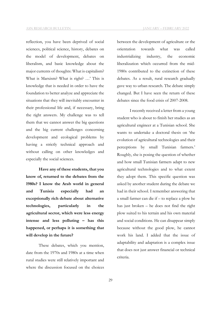reflection, you have been deprived of social sciences, political science, history, debates on the model of development, debates on liberalism, and basic knowledge about the major currents of thoughts: What is capitalism? What is Marxism? What is right? …' This is knowledge that is needed in order to have the foundation to better analyze and appreciate the situations that they will inevitably encounter in their professional life and, if necessary, bring the right answers. My challenge was to tell them that we cannot answer the big questions and the big current challenges concerning development and ecological problems by having a strictly technical approach and without calling on other knowledges and especially the social sciences.

**Have any of these students, that you know of, returned to the debates from the 1980s? I know the Arab world in general and Tunisia especially had an exceptionally rich debate about alternative technologies, particularly in the agricultural sector, which were less energy intense and less polluting – has this happened, or perhaps it is something that will develop in the future?**

These debates, which you mention, date from the 1970s and 1980s at a time when rural studies were still relatively important and where the discussion focused on the choices

between the development of agriculture or the orientation towards what was called industrializing industry, the economic liberalization which occurred from the mid-1980s contributed to the extinction of these debates. As a result, rural research gradually gave way to urban research. The debate simply changed. But I have seen the return of these debates since the food crisis of 2007-2008.

I recently received a letter from a young student who is about to finish her studies as an agricultural engineer at a Tunisian school. She wants to undertake a doctoral thesis on 'the evolution of agricultural technologies and their perceptions by small Tunisian farmers.' Roughly, she is posing the question of whether and how small Tunisian farmers adapt to new agricultural technologies and to what extent they adopt them. This specific question was asked by another student during the debate we had in their school. I remember answering that a small farmer can die if – to replace a plow he has just broken – he does not find the right plow suited to his terrain and his own material and social conditions. He can disappear simply because without the good plow, he cannot work his land. I added that the issue of adaptability and adaptation is a complex issue that does not just answer financial or technical criteria.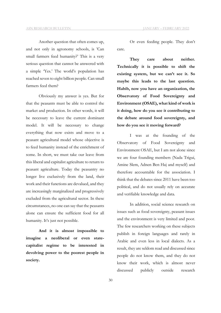Another question that often comes up, and not only in agronomy schools, is 'Can small farmers feed humanity?' This is a very serious question that cannot be answered with a simple 'Yes.' The world's population has reached seven to eight billion people. Can small farmers feed them?

Obviously my answer is yes. But for that the peasants must be able to control the market and production. In other words, it will be necessary to leave the current dominant model. It will be necessary to change everything that now exists and move to a peasant agricultural model whose objective is to feed humanity instead of the enrichment of some. In short, we must take our leave from this liberal and capitalist agriculture to return to peasant agriculture. Today the peasantry no longer live exclusively from the land, their work and their functions are devalued, and they are increasingly marginalized and progressively excluded from the agricultural sector. In these circumstances, no one can say that the peasants alone can ensure the sufficient food for all humanity. It's just not possible.

**And it is almost impossible to imagine a neoliberal or even statecapitalist regime to be interested in devolving power to the poorest people in society.**

Or even feeding people. They don't care.

**They care about neither. Technically it is possible to shift the existing system, but we can't see it. So maybe this leads to the last question. Habib, now you have an organization, the Observatory of Food Sovereignty and Environment (OSAE), what kind of work is it doing, how do you see it contributing to the debate around food sovereignty, and how do you see it moving forward?**

I was at the founding of the Observatory of Food Sovereignty and Environment OSAE, but I am not alone since we are four founding members (Nada Trigui, Amine Slem, Adnen Ben Haj and myself) and therefore accountable for the association. I think that the debates since 2011 have been too political, and do not usually rely on accurate and verifiable knowledge and data.

In addition, social science research on issues such as food sovereignty, peasant issues and the environment is very limited and poor. The few researchers working on these subjects publish in foreign languages and rarely in Arabic and even less in local dialects. As a result, they are seldom read and discussed since people do not know them, and they do not know their work, which is almost never discussed publicly outside research